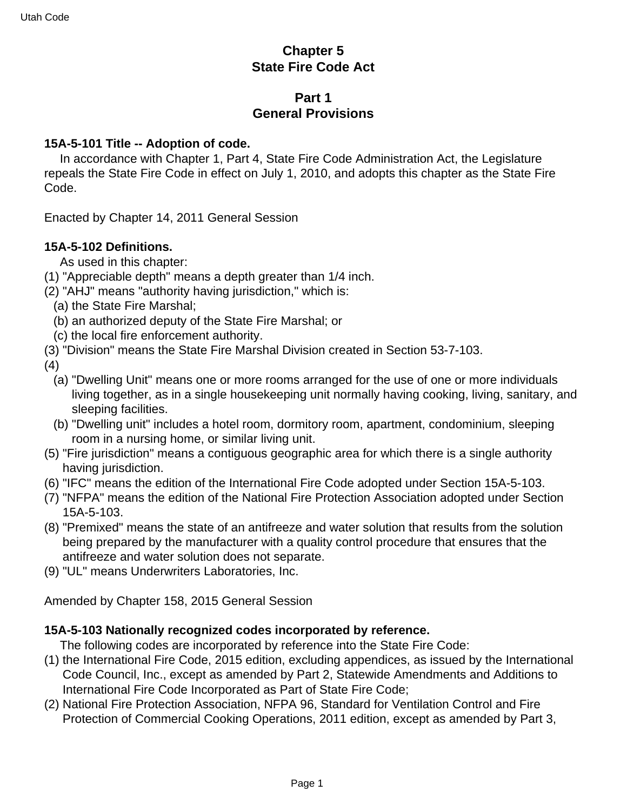# **Chapter 5 State Fire Code Act**

# **Part 1 General Provisions**

#### **15A-5-101 Title -- Adoption of code.**

 In accordance with Chapter 1, Part 4, State Fire Code Administration Act, the Legislature repeals the State Fire Code in effect on July 1, 2010, and adopts this chapter as the State Fire Code.

Enacted by Chapter 14, 2011 General Session

### **15A-5-102 Definitions.**

As used in this chapter:

- (1) "Appreciable depth" means a depth greater than 1/4 inch.
- (2) "AHJ" means "authority having jurisdiction," which is:
	- (a) the State Fire Marshal;
	- (b) an authorized deputy of the State Fire Marshal; or
	- (c) the local fire enforcement authority.
- (3) "Division" means the State Fire Marshal Division created in Section 53-7-103.

(4)

- (a) "Dwelling Unit" means one or more rooms arranged for the use of one or more individuals living together, as in a single housekeeping unit normally having cooking, living, sanitary, and sleeping facilities.
- (b) "Dwelling unit" includes a hotel room, dormitory room, apartment, condominium, sleeping room in a nursing home, or similar living unit.
- (5) "Fire jurisdiction" means a contiguous geographic area for which there is a single authority having jurisdiction.
- (6) "IFC" means the edition of the International Fire Code adopted under Section 15A-5-103.
- (7) "NFPA" means the edition of the National Fire Protection Association adopted under Section 15A-5-103.
- (8) "Premixed" means the state of an antifreeze and water solution that results from the solution being prepared by the manufacturer with a quality control procedure that ensures that the antifreeze and water solution does not separate.
- (9) "UL" means Underwriters Laboratories, Inc.

Amended by Chapter 158, 2015 General Session

### **15A-5-103 Nationally recognized codes incorporated by reference.**

The following codes are incorporated by reference into the State Fire Code:

- (1) the International Fire Code, 2015 edition, excluding appendices, as issued by the International Code Council, Inc., except as amended by Part 2, Statewide Amendments and Additions to International Fire Code Incorporated as Part of State Fire Code;
- (2) National Fire Protection Association, NFPA 96, Standard for Ventilation Control and Fire Protection of Commercial Cooking Operations, 2011 edition, except as amended by Part 3,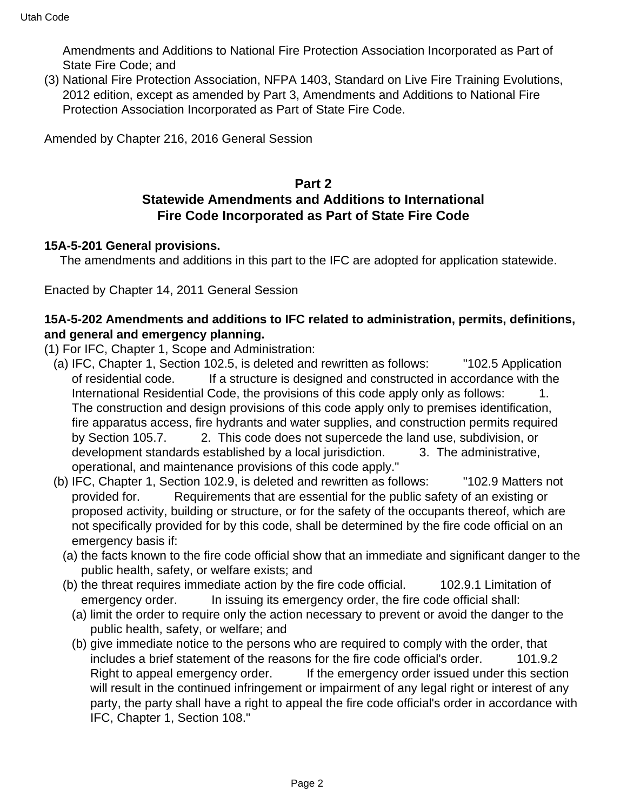Amendments and Additions to National Fire Protection Association Incorporated as Part of State Fire Code; and

(3) National Fire Protection Association, NFPA 1403, Standard on Live Fire Training Evolutions, 2012 edition, except as amended by Part 3, Amendments and Additions to National Fire Protection Association Incorporated as Part of State Fire Code.

Amended by Chapter 216, 2016 General Session

# **Part 2 Statewide Amendments and Additions to International Fire Code Incorporated as Part of State Fire Code**

#### **15A-5-201 General provisions.**

The amendments and additions in this part to the IFC are adopted for application statewide.

Enacted by Chapter 14, 2011 General Session

### **15A-5-202 Amendments and additions to IFC related to administration, permits, definitions, and general and emergency planning.**

- (1) For IFC, Chapter 1, Scope and Administration:
	- (a) IFC, Chapter 1, Section 102.5, is deleted and rewritten as follows: "102.5 Application of residential code. If a structure is designed and constructed in accordance with the International Residential Code, the provisions of this code apply only as follows: 1. The construction and design provisions of this code apply only to premises identification, fire apparatus access, fire hydrants and water supplies, and construction permits required by Section 105.7. 2. This code does not supercede the land use, subdivision, or development standards established by a local jurisdiction. 3. The administrative, operational, and maintenance provisions of this code apply."
	- (b) IFC, Chapter 1, Section 102.9, is deleted and rewritten as follows: "102.9 Matters not provided for. Requirements that are essential for the public safety of an existing or proposed activity, building or structure, or for the safety of the occupants thereof, which are not specifically provided for by this code, shall be determined by the fire code official on an emergency basis if:
		- (a) the facts known to the fire code official show that an immediate and significant danger to the public health, safety, or welfare exists; and
		- (b) the threat requires immediate action by the fire code official. 102.9.1 Limitation of emergency order. In issuing its emergency order, the fire code official shall:
			- (a) limit the order to require only the action necessary to prevent or avoid the danger to the public health, safety, or welfare; and
			- (b) give immediate notice to the persons who are required to comply with the order, that includes a brief statement of the reasons for the fire code official's order. 101.9.2 Right to appeal emergency order. If the emergency order issued under this section will result in the continued infringement or impairment of any legal right or interest of any party, the party shall have a right to appeal the fire code official's order in accordance with IFC, Chapter 1, Section 108."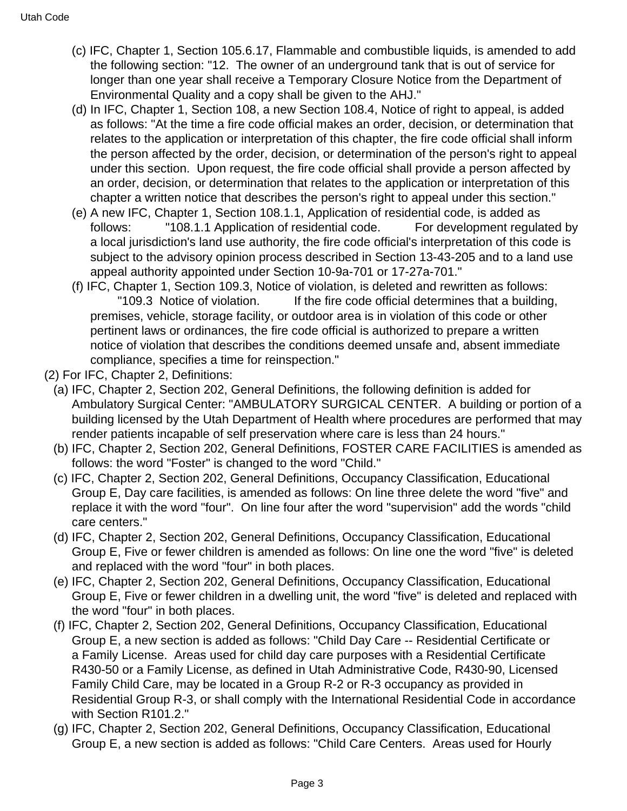- (c) IFC, Chapter 1, Section 105.6.17, Flammable and combustible liquids, is amended to add the following section: "12. The owner of an underground tank that is out of service for longer than one year shall receive a Temporary Closure Notice from the Department of Environmental Quality and a copy shall be given to the AHJ."
- (d) In IFC, Chapter 1, Section 108, a new Section 108.4, Notice of right to appeal, is added as follows: "At the time a fire code official makes an order, decision, or determination that relates to the application or interpretation of this chapter, the fire code official shall inform the person affected by the order, decision, or determination of the person's right to appeal under this section. Upon request, the fire code official shall provide a person affected by an order, decision, or determination that relates to the application or interpretation of this chapter a written notice that describes the person's right to appeal under this section."
- (e) A new IFC, Chapter 1, Section 108.1.1, Application of residential code, is added as follows: "108.1.1 Application of residential code. For development regulated by a local jurisdiction's land use authority, the fire code official's interpretation of this code is subject to the advisory opinion process described in Section 13-43-205 and to a land use appeal authority appointed under Section 10-9a-701 or 17-27a-701."
- (f) IFC, Chapter 1, Section 109.3, Notice of violation, is deleted and rewritten as follows: "109.3 Notice of violation. If the fire code official determines that a building, premises, vehicle, storage facility, or outdoor area is in violation of this code or other pertinent laws or ordinances, the fire code official is authorized to prepare a written notice of violation that describes the conditions deemed unsafe and, absent immediate compliance, specifies a time for reinspection."
- (2) For IFC, Chapter 2, Definitions:
	- (a) IFC, Chapter 2, Section 202, General Definitions, the following definition is added for Ambulatory Surgical Center: "AMBULATORY SURGICAL CENTER. A building or portion of a building licensed by the Utah Department of Health where procedures are performed that may render patients incapable of self preservation where care is less than 24 hours."
	- (b) IFC, Chapter 2, Section 202, General Definitions, FOSTER CARE FACILITIES is amended as follows: the word "Foster" is changed to the word "Child."
	- (c) IFC, Chapter 2, Section 202, General Definitions, Occupancy Classification, Educational Group E, Day care facilities, is amended as follows: On line three delete the word "five" and replace it with the word "four". On line four after the word "supervision" add the words "child care centers."
	- (d) IFC, Chapter 2, Section 202, General Definitions, Occupancy Classification, Educational Group E, Five or fewer children is amended as follows: On line one the word "five" is deleted and replaced with the word "four" in both places.
	- (e) IFC, Chapter 2, Section 202, General Definitions, Occupancy Classification, Educational Group E, Five or fewer children in a dwelling unit, the word "five" is deleted and replaced with the word "four" in both places.
	- (f) IFC, Chapter 2, Section 202, General Definitions, Occupancy Classification, Educational Group E, a new section is added as follows: "Child Day Care -- Residential Certificate or a Family License. Areas used for child day care purposes with a Residential Certificate R430-50 or a Family License, as defined in Utah Administrative Code, R430-90, Licensed Family Child Care, may be located in a Group R-2 or R-3 occupancy as provided in Residential Group R-3, or shall comply with the International Residential Code in accordance with Section R101.2."
	- (g) IFC, Chapter 2, Section 202, General Definitions, Occupancy Classification, Educational Group E, a new section is added as follows: "Child Care Centers. Areas used for Hourly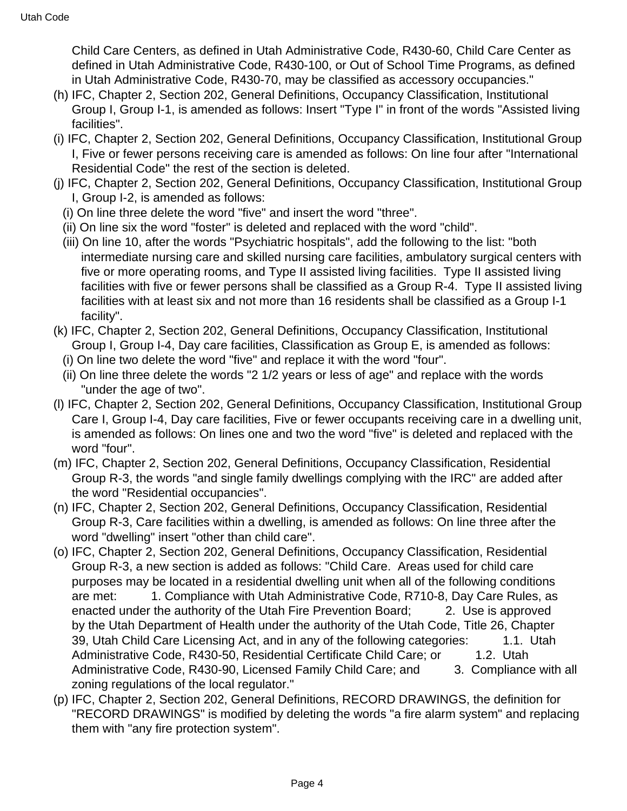Child Care Centers, as defined in Utah Administrative Code, R430-60, Child Care Center as defined in Utah Administrative Code, R430-100, or Out of School Time Programs, as defined in Utah Administrative Code, R430-70, may be classified as accessory occupancies."

- (h) IFC, Chapter 2, Section 202, General Definitions, Occupancy Classification, Institutional Group I, Group I-1, is amended as follows: Insert "Type I" in front of the words "Assisted living facilities".
- (i) IFC, Chapter 2, Section 202, General Definitions, Occupancy Classification, Institutional Group I, Five or fewer persons receiving care is amended as follows: On line four after "International Residential Code" the rest of the section is deleted.
- (j) IFC, Chapter 2, Section 202, General Definitions, Occupancy Classification, Institutional Group I, Group I-2, is amended as follows:
	- (i) On line three delete the word "five" and insert the word "three".
	- (ii) On line six the word "foster" is deleted and replaced with the word "child".
	- (iii) On line 10, after the words "Psychiatric hospitals", add the following to the list: "both intermediate nursing care and skilled nursing care facilities, ambulatory surgical centers with five or more operating rooms, and Type II assisted living facilities. Type II assisted living facilities with five or fewer persons shall be classified as a Group R-4. Type II assisted living facilities with at least six and not more than 16 residents shall be classified as a Group I-1 facility".
- (k) IFC, Chapter 2, Section 202, General Definitions, Occupancy Classification, Institutional Group I, Group I-4, Day care facilities, Classification as Group E, is amended as follows:
	- (i) On line two delete the word "five" and replace it with the word "four".
	- (ii) On line three delete the words "2 1/2 years or less of age" and replace with the words "under the age of two".
- (l) IFC, Chapter 2, Section 202, General Definitions, Occupancy Classification, Institutional Group Care I, Group I-4, Day care facilities, Five or fewer occupants receiving care in a dwelling unit, is amended as follows: On lines one and two the word "five" is deleted and replaced with the word "four".
- (m) IFC, Chapter 2, Section 202, General Definitions, Occupancy Classification, Residential Group R-3, the words "and single family dwellings complying with the IRC" are added after the word "Residential occupancies".
- (n) IFC, Chapter 2, Section 202, General Definitions, Occupancy Classification, Residential Group R-3, Care facilities within a dwelling, is amended as follows: On line three after the word "dwelling" insert "other than child care".
- (o) IFC, Chapter 2, Section 202, General Definitions, Occupancy Classification, Residential Group R-3, a new section is added as follows: "Child Care. Areas used for child care purposes may be located in a residential dwelling unit when all of the following conditions are met: 1. Compliance with Utah Administrative Code, R710-8, Day Care Rules, as enacted under the authority of the Utah Fire Prevention Board; 2. Use is approved by the Utah Department of Health under the authority of the Utah Code, Title 26, Chapter 39, Utah Child Care Licensing Act, and in any of the following categories: 1.1. Utah Administrative Code, R430-50, Residential Certificate Child Care; or 1.2. Utah Administrative Code, R430-90, Licensed Family Child Care; and 3. Compliance with all zoning regulations of the local regulator."
- (p) IFC, Chapter 2, Section 202, General Definitions, RECORD DRAWINGS, the definition for "RECORD DRAWINGS" is modified by deleting the words "a fire alarm system" and replacing them with "any fire protection system".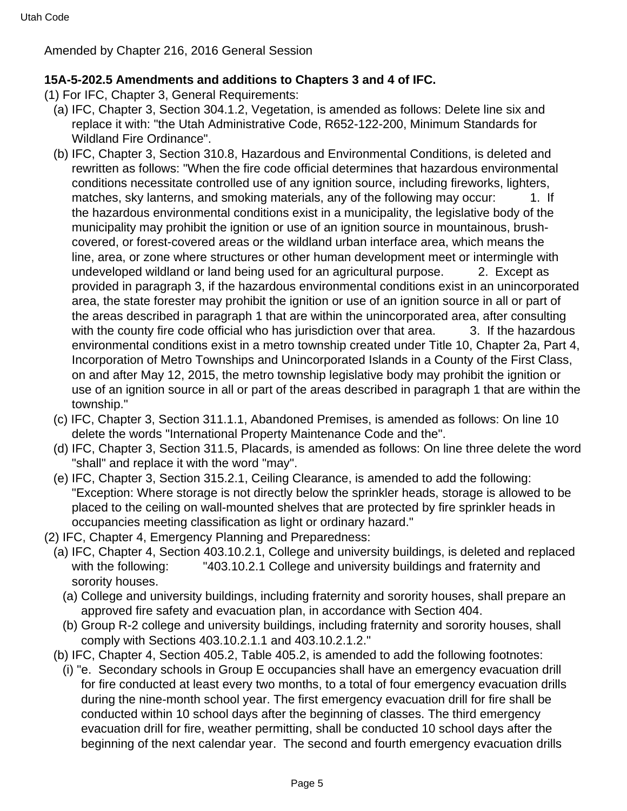Amended by Chapter 216, 2016 General Session

# **15A-5-202.5 Amendments and additions to Chapters 3 and 4 of IFC.**

- (1) For IFC, Chapter 3, General Requirements:
	- (a) IFC, Chapter 3, Section 304.1.2, Vegetation, is amended as follows: Delete line six and replace it with: "the Utah Administrative Code, R652-122-200, Minimum Standards for Wildland Fire Ordinance".
	- (b) IFC, Chapter 3, Section 310.8, Hazardous and Environmental Conditions, is deleted and rewritten as follows: "When the fire code official determines that hazardous environmental conditions necessitate controlled use of any ignition source, including fireworks, lighters, matches, sky lanterns, and smoking materials, any of the following may occur: 1. If the hazardous environmental conditions exist in a municipality, the legislative body of the municipality may prohibit the ignition or use of an ignition source in mountainous, brushcovered, or forest-covered areas or the wildland urban interface area, which means the line, area, or zone where structures or other human development meet or intermingle with undeveloped wildland or land being used for an agricultural purpose. 2. Except as provided in paragraph 3, if the hazardous environmental conditions exist in an unincorporated area, the state forester may prohibit the ignition or use of an ignition source in all or part of the areas described in paragraph 1 that are within the unincorporated area, after consulting with the county fire code official who has jurisdiction over that area. 3. If the hazardous environmental conditions exist in a metro township created under Title 10, Chapter 2a, Part 4, Incorporation of Metro Townships and Unincorporated Islands in a County of the First Class, on and after May 12, 2015, the metro township legislative body may prohibit the ignition or use of an ignition source in all or part of the areas described in paragraph 1 that are within the township."
	- (c) IFC, Chapter 3, Section 311.1.1, Abandoned Premises, is amended as follows: On line 10 delete the words "International Property Maintenance Code and the".
	- (d) IFC, Chapter 3, Section 311.5, Placards, is amended as follows: On line three delete the word "shall" and replace it with the word "may".
	- (e) IFC, Chapter 3, Section 315.2.1, Ceiling Clearance, is amended to add the following: "Exception: Where storage is not directly below the sprinkler heads, storage is allowed to be placed to the ceiling on wall-mounted shelves that are protected by fire sprinkler heads in occupancies meeting classification as light or ordinary hazard."
- (2) IFC, Chapter 4, Emergency Planning and Preparedness:
- (a) IFC, Chapter 4, Section 403.10.2.1, College and university buildings, is deleted and replaced with the following: "403.10.2.1 College and university buildings and fraternity and sorority houses.
	- (a) College and university buildings, including fraternity and sorority houses, shall prepare an approved fire safety and evacuation plan, in accordance with Section 404.
	- (b) Group R-2 college and university buildings, including fraternity and sorority houses, shall comply with Sections 403.10.2.1.1 and 403.10.2.1.2."
- (b) IFC, Chapter 4, Section 405.2, Table 405.2, is amended to add the following footnotes:
	- (i) "e. Secondary schools in Group E occupancies shall have an emergency evacuation drill for fire conducted at least every two months, to a total of four emergency evacuation drills during the nine-month school year. The first emergency evacuation drill for fire shall be conducted within 10 school days after the beginning of classes. The third emergency evacuation drill for fire, weather permitting, shall be conducted 10 school days after the beginning of the next calendar year. The second and fourth emergency evacuation drills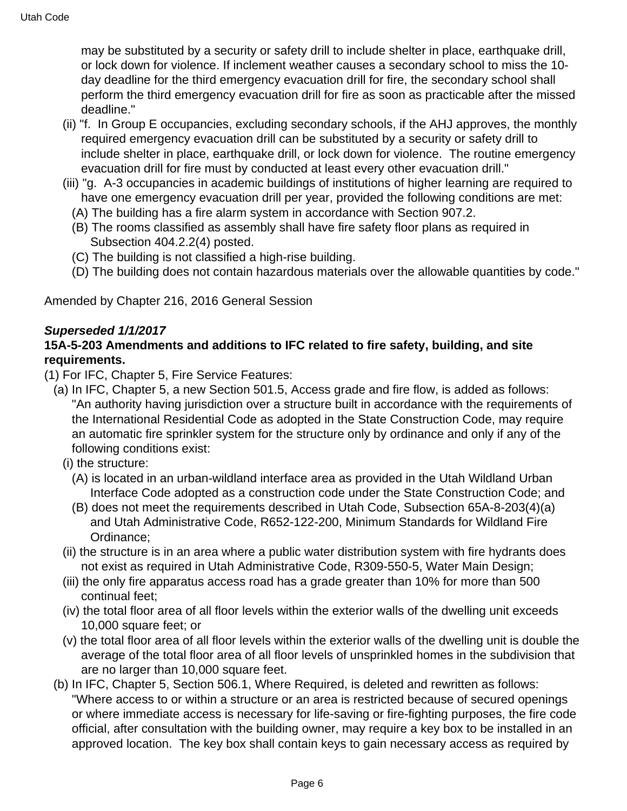may be substituted by a security or safety drill to include shelter in place, earthquake drill. or lock down for violence. If inclement weather causes a secondary school to miss the 10 day deadline for the third emergency evacuation drill for fire, the secondary school shall perform the third emergency evacuation drill for fire as soon as practicable after the missed deadline."

- (ii) "f. In Group E occupancies, excluding secondary schools, if the AHJ approves, the monthly required emergency evacuation drill can be substituted by a security or safety drill to include shelter in place, earthquake drill, or lock down for violence. The routine emergency evacuation drill for fire must by conducted at least every other evacuation drill."
- (iii) "g. A-3 occupancies in academic buildings of institutions of higher learning are required to have one emergency evacuation drill per year, provided the following conditions are met:
	- (A) The building has a fire alarm system in accordance with Section 907.2.
	- (B) The rooms classified as assembly shall have fire safety floor plans as required in Subsection 404.2.2(4) posted.
	- (C) The building is not classified a high-rise building.
	- (D) The building does not contain hazardous materials over the allowable quantities by code."

Amended by Chapter 216, 2016 General Session

#### **Superseded 1/1/2017**

### **15A-5-203 Amendments and additions to IFC related to fire safety, building, and site requirements.**

(1) For IFC, Chapter 5, Fire Service Features:

- (a) In IFC, Chapter 5, a new Section 501.5, Access grade and fire flow, is added as follows: "An authority having jurisdiction over a structure built in accordance with the requirements of the International Residential Code as adopted in the State Construction Code, may require an automatic fire sprinkler system for the structure only by ordinance and only if any of the following conditions exist:
	- (i) the structure:
		- (A) is located in an urban-wildland interface area as provided in the Utah Wildland Urban Interface Code adopted as a construction code under the State Construction Code; and
		- (B) does not meet the requirements described in Utah Code, Subsection 65A-8-203(4)(a) and Utah Administrative Code, R652-122-200, Minimum Standards for Wildland Fire Ordinance;
	- (ii) the structure is in an area where a public water distribution system with fire hydrants does not exist as required in Utah Administrative Code, R309-550-5, Water Main Design;
	- (iii) the only fire apparatus access road has a grade greater than 10% for more than 500 continual feet;
	- (iv) the total floor area of all floor levels within the exterior walls of the dwelling unit exceeds 10,000 square feet; or
	- (v) the total floor area of all floor levels within the exterior walls of the dwelling unit is double the average of the total floor area of all floor levels of unsprinkled homes in the subdivision that are no larger than 10,000 square feet.
- (b) In IFC, Chapter 5, Section 506.1, Where Required, is deleted and rewritten as follows: "Where access to or within a structure or an area is restricted because of secured openings or where immediate access is necessary for life-saving or fire-fighting purposes, the fire code official, after consultation with the building owner, may require a key box to be installed in an approved location. The key box shall contain keys to gain necessary access as required by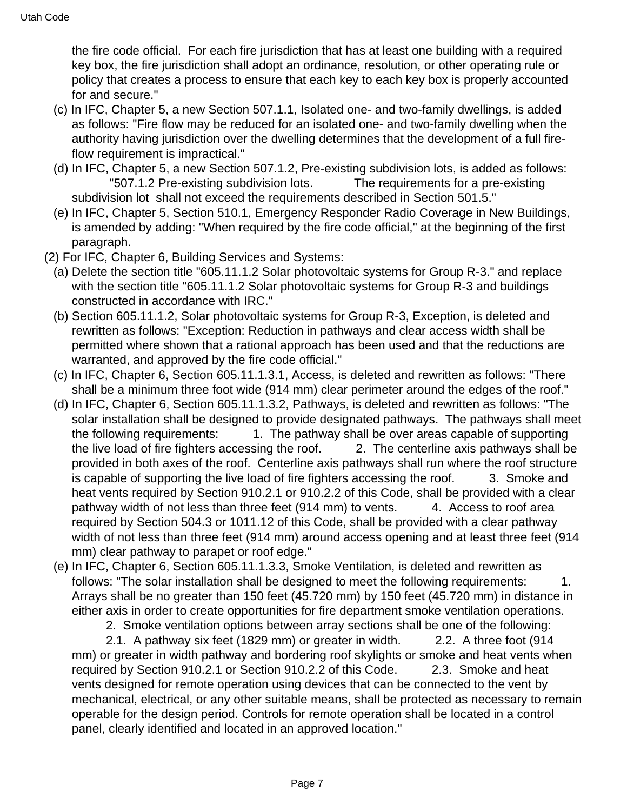the fire code official. For each fire jurisdiction that has at least one building with a required key box, the fire jurisdiction shall adopt an ordinance, resolution, or other operating rule or policy that creates a process to ensure that each key to each key box is properly accounted for and secure."

- (c) In IFC, Chapter 5, a new Section 507.1.1, Isolated one- and two-family dwellings, is added as follows: "Fire flow may be reduced for an isolated one- and two-family dwelling when the authority having jurisdiction over the dwelling determines that the development of a full fireflow requirement is impractical."
- (d) In IFC, Chapter 5, a new Section 507.1.2, Pre-existing subdivision lots, is added as follows: "507.1.2 Pre-existing subdivision lots. The requirements for a pre-existing subdivision lot shall not exceed the requirements described in Section 501.5."
- (e) In IFC, Chapter 5, Section 510.1, Emergency Responder Radio Coverage in New Buildings, is amended by adding: "When required by the fire code official," at the beginning of the first paragraph.
- (2) For IFC, Chapter 6, Building Services and Systems:
	- (a) Delete the section title "605.11.1.2 Solar photovoltaic systems for Group R-3." and replace with the section title "605.11.1.2 Solar photovoltaic systems for Group R-3 and buildings constructed in accordance with IRC."
	- (b) Section 605.11.1.2, Solar photovoltaic systems for Group R-3, Exception, is deleted and rewritten as follows: "Exception: Reduction in pathways and clear access width shall be permitted where shown that a rational approach has been used and that the reductions are warranted, and approved by the fire code official."
	- (c) In IFC, Chapter 6, Section 605.11.1.3.1, Access, is deleted and rewritten as follows: "There shall be a minimum three foot wide (914 mm) clear perimeter around the edges of the roof."
	- (d) In IFC, Chapter 6, Section 605.11.1.3.2, Pathways, is deleted and rewritten as follows: "The solar installation shall be designed to provide designated pathways. The pathways shall meet the following requirements: 1. The pathway shall be over areas capable of supporting the live load of fire fighters accessing the roof. 2. The centerline axis pathways shall be provided in both axes of the roof. Centerline axis pathways shall run where the roof structure is capable of supporting the live load of fire fighters accessing the roof. 3. Smoke and heat vents required by Section 910.2.1 or 910.2.2 of this Code, shall be provided with a clear pathway width of not less than three feet (914 mm) to vents. 4. Access to roof area required by Section 504.3 or 1011.12 of this Code, shall be provided with a clear pathway width of not less than three feet (914 mm) around access opening and at least three feet (914 mm) clear pathway to parapet or roof edge."
	- (e) In IFC, Chapter 6, Section 605.11.1.3.3, Smoke Ventilation, is deleted and rewritten as follows: "The solar installation shall be designed to meet the following requirements:  $1.$ Arrays shall be no greater than 150 feet (45.720 mm) by 150 feet (45.720 mm) in distance in either axis in order to create opportunities for fire department smoke ventilation operations.

2. Smoke ventilation options between array sections shall be one of the following:

 2.1. A pathway six feet (1829 mm) or greater in width. 2.2. A three foot (914 mm) or greater in width pathway and bordering roof skylights or smoke and heat vents when required by Section 910.2.1 or Section 910.2.2 of this Code. 2.3. Smoke and heat vents designed for remote operation using devices that can be connected to the vent by mechanical, electrical, or any other suitable means, shall be protected as necessary to remain operable for the design period. Controls for remote operation shall be located in a control panel, clearly identified and located in an approved location."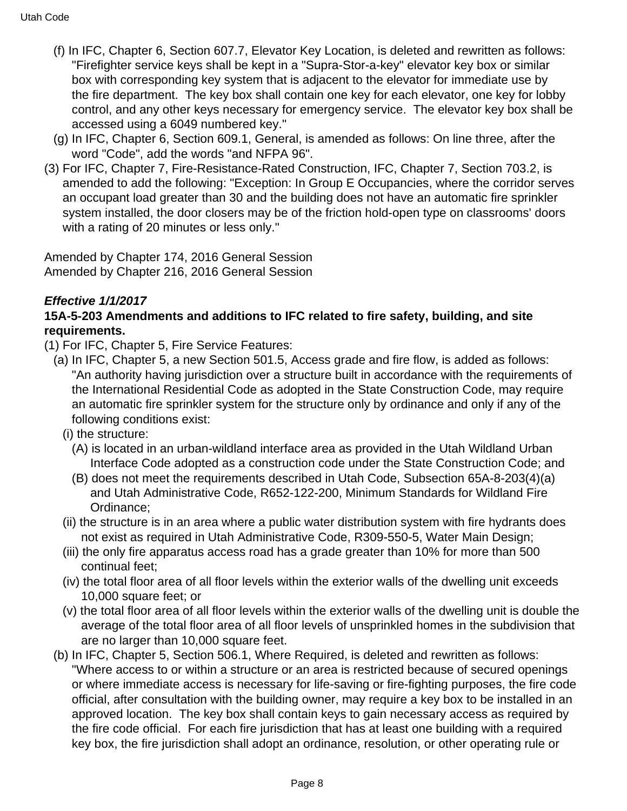- (f) In IFC, Chapter 6, Section 607.7, Elevator Key Location, is deleted and rewritten as follows: "Firefighter service keys shall be kept in a "Supra-Stor-a-key" elevator key box or similar box with corresponding key system that is adjacent to the elevator for immediate use by the fire department. The key box shall contain one key for each elevator, one key for lobby control, and any other keys necessary for emergency service. The elevator key box shall be accessed using a 6049 numbered key."
- (g) In IFC, Chapter 6, Section 609.1, General, is amended as follows: On line three, after the word "Code", add the words "and NFPA 96".
- (3) For IFC, Chapter 7, Fire-Resistance-Rated Construction, IFC, Chapter 7, Section 703.2, is amended to add the following: "Exception: In Group E Occupancies, where the corridor serves an occupant load greater than 30 and the building does not have an automatic fire sprinkler system installed, the door closers may be of the friction hold-open type on classrooms' doors with a rating of 20 minutes or less only."

Amended by Chapter 174, 2016 General Session Amended by Chapter 216, 2016 General Session

# **Effective 1/1/2017**

# **15A-5-203 Amendments and additions to IFC related to fire safety, building, and site requirements.**

- (1) For IFC, Chapter 5, Fire Service Features:
	- (a) In IFC, Chapter 5, a new Section 501.5, Access grade and fire flow, is added as follows: "An authority having jurisdiction over a structure built in accordance with the requirements of the International Residential Code as adopted in the State Construction Code, may require an automatic fire sprinkler system for the structure only by ordinance and only if any of the following conditions exist:
		- (i) the structure:
			- (A) is located in an urban-wildland interface area as provided in the Utah Wildland Urban Interface Code adopted as a construction code under the State Construction Code; and
			- (B) does not meet the requirements described in Utah Code, Subsection 65A-8-203(4)(a) and Utah Administrative Code, R652-122-200, Minimum Standards for Wildland Fire Ordinance;
		- (ii) the structure is in an area where a public water distribution system with fire hydrants does not exist as required in Utah Administrative Code, R309-550-5, Water Main Design;
		- (iii) the only fire apparatus access road has a grade greater than 10% for more than 500 continual feet;
		- (iv) the total floor area of all floor levels within the exterior walls of the dwelling unit exceeds 10,000 square feet; or
		- (v) the total floor area of all floor levels within the exterior walls of the dwelling unit is double the average of the total floor area of all floor levels of unsprinkled homes in the subdivision that are no larger than 10,000 square feet.
	- (b) In IFC, Chapter 5, Section 506.1, Where Required, is deleted and rewritten as follows: "Where access to or within a structure or an area is restricted because of secured openings or where immediate access is necessary for life-saving or fire-fighting purposes, the fire code official, after consultation with the building owner, may require a key box to be installed in an approved location. The key box shall contain keys to gain necessary access as required by the fire code official. For each fire jurisdiction that has at least one building with a required key box, the fire jurisdiction shall adopt an ordinance, resolution, or other operating rule or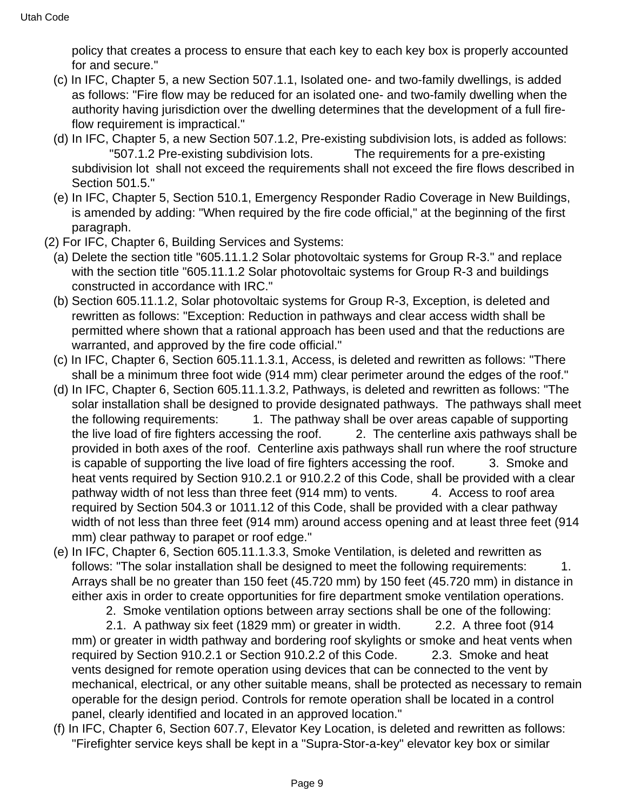policy that creates a process to ensure that each key to each key box is properly accounted for and secure."

- (c) In IFC, Chapter 5, a new Section 507.1.1, Isolated one- and two-family dwellings, is added as follows: "Fire flow may be reduced for an isolated one- and two-family dwelling when the authority having jurisdiction over the dwelling determines that the development of a full fireflow requirement is impractical."
- (d) In IFC, Chapter 5, a new Section 507.1.2, Pre-existing subdivision lots, is added as follows: "507.1.2 Pre-existing subdivision lots. The requirements for a pre-existing subdivision lot shall not exceed the requirements shall not exceed the fire flows described in Section 501.5."
- (e) In IFC, Chapter 5, Section 510.1, Emergency Responder Radio Coverage in New Buildings, is amended by adding: "When required by the fire code official," at the beginning of the first paragraph.
- (2) For IFC, Chapter 6, Building Services and Systems:
	- (a) Delete the section title "605.11.1.2 Solar photovoltaic systems for Group R-3." and replace with the section title "605.11.1.2 Solar photovoltaic systems for Group R-3 and buildings constructed in accordance with IRC."
	- (b) Section 605.11.1.2, Solar photovoltaic systems for Group R-3, Exception, is deleted and rewritten as follows: "Exception: Reduction in pathways and clear access width shall be permitted where shown that a rational approach has been used and that the reductions are warranted, and approved by the fire code official."
	- (c) In IFC, Chapter 6, Section 605.11.1.3.1, Access, is deleted and rewritten as follows: "There shall be a minimum three foot wide (914 mm) clear perimeter around the edges of the roof."
	- (d) In IFC, Chapter 6, Section 605.11.1.3.2, Pathways, is deleted and rewritten as follows: "The solar installation shall be designed to provide designated pathways. The pathways shall meet the following requirements: 1. The pathway shall be over areas capable of supporting the live load of fire fighters accessing the roof. 2. The centerline axis pathways shall be provided in both axes of the roof. Centerline axis pathways shall run where the roof structure is capable of supporting the live load of fire fighters accessing the roof. 3. Smoke and heat vents required by Section 910.2.1 or 910.2.2 of this Code, shall be provided with a clear pathway width of not less than three feet (914 mm) to vents. 4. Access to roof area required by Section 504.3 or 1011.12 of this Code, shall be provided with a clear pathway width of not less than three feet (914 mm) around access opening and at least three feet (914 mm) clear pathway to parapet or roof edge."
	- (e) In IFC, Chapter 6, Section 605.11.1.3.3, Smoke Ventilation, is deleted and rewritten as follows: "The solar installation shall be designed to meet the following requirements: 1. Arrays shall be no greater than 150 feet (45.720 mm) by 150 feet (45.720 mm) in distance in either axis in order to create opportunities for fire department smoke ventilation operations.

2. Smoke ventilation options between array sections shall be one of the following:

 2.1. A pathway six feet (1829 mm) or greater in width. 2.2. A three foot (914 mm) or greater in width pathway and bordering roof skylights or smoke and heat vents when required by Section 910.2.1 or Section 910.2.2 of this Code. 2.3. Smoke and heat vents designed for remote operation using devices that can be connected to the vent by mechanical, electrical, or any other suitable means, shall be protected as necessary to remain operable for the design period. Controls for remote operation shall be located in a control panel, clearly identified and located in an approved location."

(f) In IFC, Chapter 6, Section 607.7, Elevator Key Location, is deleted and rewritten as follows: "Firefighter service keys shall be kept in a "Supra-Stor-a-key" elevator key box or similar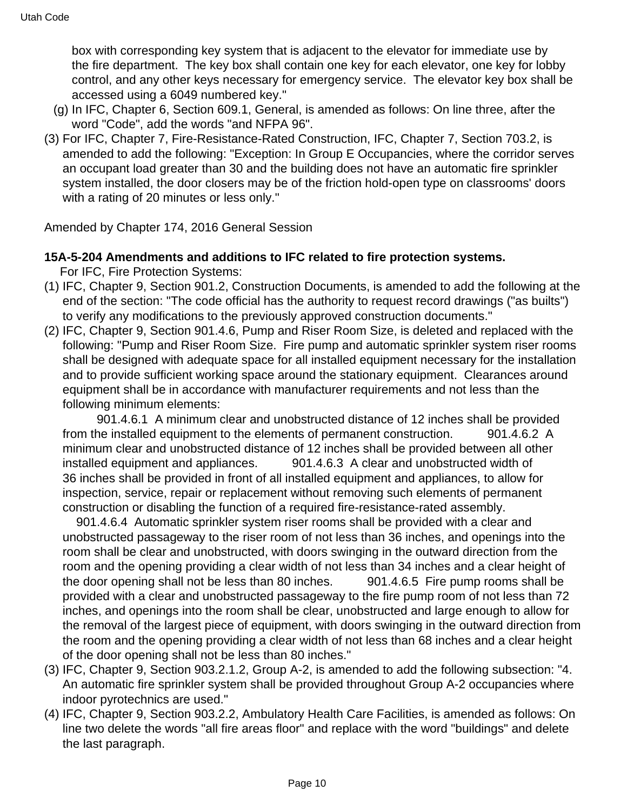box with corresponding key system that is adjacent to the elevator for immediate use by the fire department. The key box shall contain one key for each elevator, one key for lobby control, and any other keys necessary for emergency service. The elevator key box shall be accessed using a 6049 numbered key."

- (g) In IFC, Chapter 6, Section 609.1, General, is amended as follows: On line three, after the word "Code", add the words "and NFPA 96".
- (3) For IFC, Chapter 7, Fire-Resistance-Rated Construction, IFC, Chapter 7, Section 703.2, is amended to add the following: "Exception: In Group E Occupancies, where the corridor serves an occupant load greater than 30 and the building does not have an automatic fire sprinkler system installed, the door closers may be of the friction hold-open type on classrooms' doors with a rating of 20 minutes or less only."

Amended by Chapter 174, 2016 General Session

# **15A-5-204 Amendments and additions to IFC related to fire protection systems.**

For IFC, Fire Protection Systems:

- (1) IFC, Chapter 9, Section 901.2, Construction Documents, is amended to add the following at the end of the section: "The code official has the authority to request record drawings ("as builts") to verify any modifications to the previously approved construction documents."
- (2) IFC, Chapter 9, Section 901.4.6, Pump and Riser Room Size, is deleted and replaced with the following: "Pump and Riser Room Size. Fire pump and automatic sprinkler system riser rooms shall be designed with adequate space for all installed equipment necessary for the installation and to provide sufficient working space around the stationary equipment. Clearances around equipment shall be in accordance with manufacturer requirements and not less than the following minimum elements:

 901.4.6.1 A minimum clear and unobstructed distance of 12 inches shall be provided from the installed equipment to the elements of permanent construction. 901.4.6.2 A minimum clear and unobstructed distance of 12 inches shall be provided between all other installed equipment and appliances. 901.4.6.3 A clear and unobstructed width of 36 inches shall be provided in front of all installed equipment and appliances, to allow for inspection, service, repair or replacement without removing such elements of permanent construction or disabling the function of a required fire-resistance-rated assembly.

 901.4.6.4 Automatic sprinkler system riser rooms shall be provided with a clear and unobstructed passageway to the riser room of not less than 36 inches, and openings into the room shall be clear and unobstructed, with doors swinging in the outward direction from the room and the opening providing a clear width of not less than 34 inches and a clear height of the door opening shall not be less than 80 inches. 901.4.6.5 Fire pump rooms shall be provided with a clear and unobstructed passageway to the fire pump room of not less than 72 inches, and openings into the room shall be clear, unobstructed and large enough to allow for the removal of the largest piece of equipment, with doors swinging in the outward direction from the room and the opening providing a clear width of not less than 68 inches and a clear height of the door opening shall not be less than 80 inches."

- (3) IFC, Chapter 9, Section 903.2.1.2, Group A-2, is amended to add the following subsection: "4. An automatic fire sprinkler system shall be provided throughout Group A-2 occupancies where indoor pyrotechnics are used."
- (4) IFC, Chapter 9, Section 903.2.2, Ambulatory Health Care Facilities, is amended as follows: On line two delete the words "all fire areas floor" and replace with the word "buildings" and delete the last paragraph.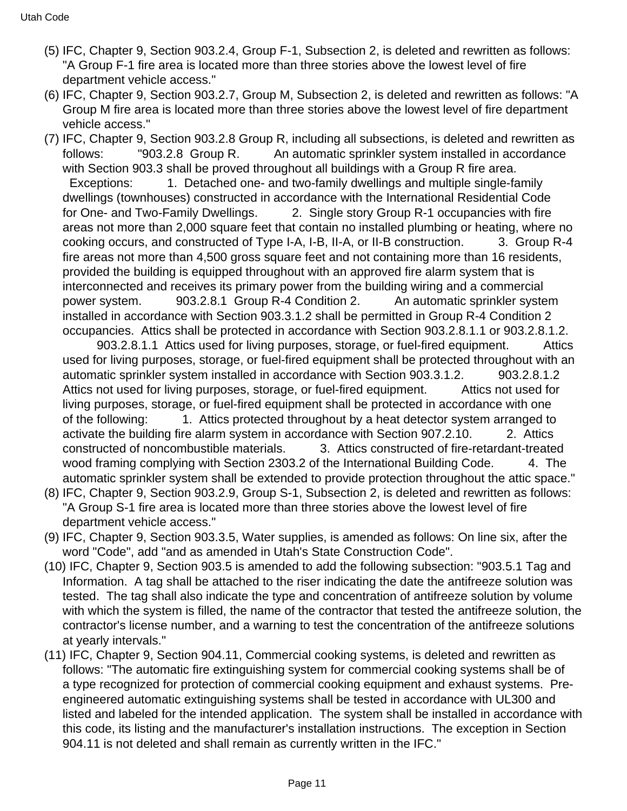- (5) IFC, Chapter 9, Section 903.2.4, Group F-1, Subsection 2, is deleted and rewritten as follows: "A Group F-1 fire area is located more than three stories above the lowest level of fire department vehicle access."
- (6) IFC, Chapter 9, Section 903.2.7, Group M, Subsection 2, is deleted and rewritten as follows: "A Group M fire area is located more than three stories above the lowest level of fire department vehicle access."
- (7) IFC, Chapter 9, Section 903.2.8 Group R, including all subsections, is deleted and rewritten as follows: "903.2.8 Group R. An automatic sprinkler system installed in accordance with Section 903.3 shall be proved throughout all buildings with a Group R fire area. Exceptions: 1. Detached one- and two-family dwellings and multiple single-family dwellings (townhouses) constructed in accordance with the International Residential Code for One- and Two-Family Dwellings. 2. Single story Group R-1 occupancies with fire areas not more than 2,000 square feet that contain no installed plumbing or heating, where no cooking occurs, and constructed of Type I-A, I-B, II-A, or II-B construction. 3. Group R-4 fire areas not more than 4,500 gross square feet and not containing more than 16 residents, provided the building is equipped throughout with an approved fire alarm system that is interconnected and receives its primary power from the building wiring and a commercial power system. 903.2.8.1 Group R-4 Condition 2. An automatic sprinkler system installed in accordance with Section 903.3.1.2 shall be permitted in Group R-4 Condition 2 occupancies. Attics shall be protected in accordance with Section 903.2.8.1.1 or 903.2.8.1.2.

 903.2.8.1.1 Attics used for living purposes, storage, or fuel-fired equipment. Attics used for living purposes, storage, or fuel-fired equipment shall be protected throughout with an automatic sprinkler system installed in accordance with Section 903.3.1.2. 903.2.8.1.2 Attics not used for living purposes, storage, or fuel-fired equipment. Attics not used for living purposes, storage, or fuel-fired equipment shall be protected in accordance with one of the following: 1. Attics protected throughout by a heat detector system arranged to activate the building fire alarm system in accordance with Section 907.2.10. 2. Attics constructed of noncombustible materials. 3. Attics constructed of fire-retardant-treated wood framing complying with Section 2303.2 of the International Building Code. 4. The automatic sprinkler system shall be extended to provide protection throughout the attic space."

- (8) IFC, Chapter 9, Section 903.2.9, Group S-1, Subsection 2, is deleted and rewritten as follows: "A Group S-1 fire area is located more than three stories above the lowest level of fire department vehicle access."
- (9) IFC, Chapter 9, Section 903.3.5, Water supplies, is amended as follows: On line six, after the word "Code", add "and as amended in Utah's State Construction Code".
- (10) IFC, Chapter 9, Section 903.5 is amended to add the following subsection: "903.5.1 Tag and Information. A tag shall be attached to the riser indicating the date the antifreeze solution was tested. The tag shall also indicate the type and concentration of antifreeze solution by volume with which the system is filled, the name of the contractor that tested the antifreeze solution, the contractor's license number, and a warning to test the concentration of the antifreeze solutions at yearly intervals."
- (11) IFC, Chapter 9, Section 904.11, Commercial cooking systems, is deleted and rewritten as follows: "The automatic fire extinguishing system for commercial cooking systems shall be of a type recognized for protection of commercial cooking equipment and exhaust systems. Preengineered automatic extinguishing systems shall be tested in accordance with UL300 and listed and labeled for the intended application. The system shall be installed in accordance with this code, its listing and the manufacturer's installation instructions. The exception in Section 904.11 is not deleted and shall remain as currently written in the IFC."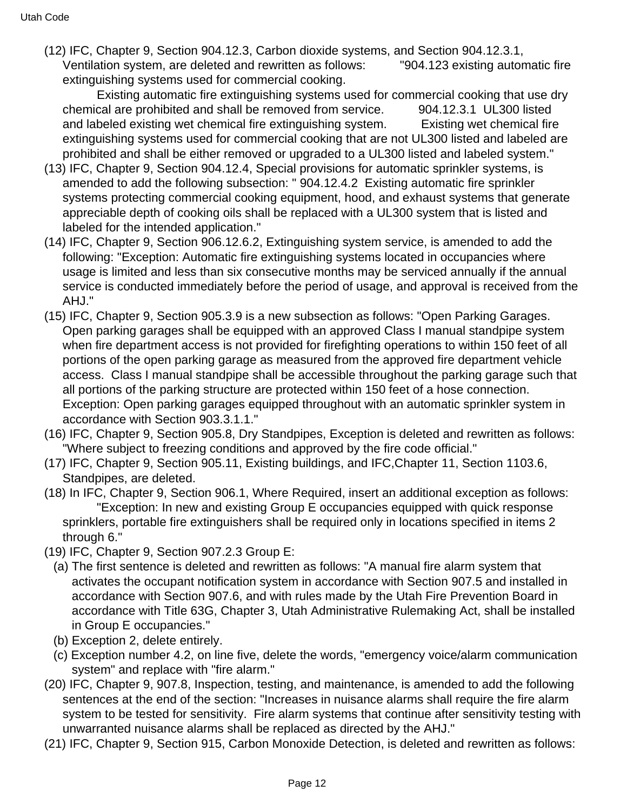(12) IFC, Chapter 9, Section 904.12.3, Carbon dioxide systems, and Section 904.12.3.1, Ventilation system, are deleted and rewritten as follows: "904.123 existing automatic fire extinguishing systems used for commercial cooking.

 Existing automatic fire extinguishing systems used for commercial cooking that use dry chemical are prohibited and shall be removed from service. 904.12.3.1 UL300 listed and labeled existing wet chemical fire extinguishing system. Existing wet chemical fire extinguishing systems used for commercial cooking that are not UL300 listed and labeled are prohibited and shall be either removed or upgraded to a UL300 listed and labeled system."

- (13) IFC, Chapter 9, Section 904.12.4, Special provisions for automatic sprinkler systems, is amended to add the following subsection: " 904.12.4.2 Existing automatic fire sprinkler systems protecting commercial cooking equipment, hood, and exhaust systems that generate appreciable depth of cooking oils shall be replaced with a UL300 system that is listed and labeled for the intended application."
- (14) IFC, Chapter 9, Section 906.12.6.2, Extinguishing system service, is amended to add the following: "Exception: Automatic fire extinguishing systems located in occupancies where usage is limited and less than six consecutive months may be serviced annually if the annual service is conducted immediately before the period of usage, and approval is received from the AHJ."
- (15) IFC, Chapter 9, Section 905.3.9 is a new subsection as follows: "Open Parking Garages. Open parking garages shall be equipped with an approved Class I manual standpipe system when fire department access is not provided for firefighting operations to within 150 feet of all portions of the open parking garage as measured from the approved fire department vehicle access. Class I manual standpipe shall be accessible throughout the parking garage such that all portions of the parking structure are protected within 150 feet of a hose connection. Exception: Open parking garages equipped throughout with an automatic sprinkler system in accordance with Section 903.3.1.1."
- (16) IFC, Chapter 9, Section 905.8, Dry Standpipes, Exception is deleted and rewritten as follows: "Where subject to freezing conditions and approved by the fire code official."
- (17) IFC, Chapter 9, Section 905.11, Existing buildings, and IFC,Chapter 11, Section 1103.6, Standpipes, are deleted.
- (18) In IFC, Chapter 9, Section 906.1, Where Required, insert an additional exception as follows: "Exception: In new and existing Group E occupancies equipped with quick response sprinklers, portable fire extinguishers shall be required only in locations specified in items 2 through 6."
- (19) IFC, Chapter 9, Section 907.2.3 Group E:
- (a) The first sentence is deleted and rewritten as follows: "A manual fire alarm system that activates the occupant notification system in accordance with Section 907.5 and installed in accordance with Section 907.6, and with rules made by the Utah Fire Prevention Board in accordance with Title 63G, Chapter 3, Utah Administrative Rulemaking Act, shall be installed in Group E occupancies."
- (b) Exception 2, delete entirely.
- (c) Exception number 4.2, on line five, delete the words, "emergency voice/alarm communication system" and replace with "fire alarm."
- (20) IFC, Chapter 9, 907.8, Inspection, testing, and maintenance, is amended to add the following sentences at the end of the section: "Increases in nuisance alarms shall require the fire alarm system to be tested for sensitivity. Fire alarm systems that continue after sensitivity testing with unwarranted nuisance alarms shall be replaced as directed by the AHJ."
- (21) IFC, Chapter 9, Section 915, Carbon Monoxide Detection, is deleted and rewritten as follows: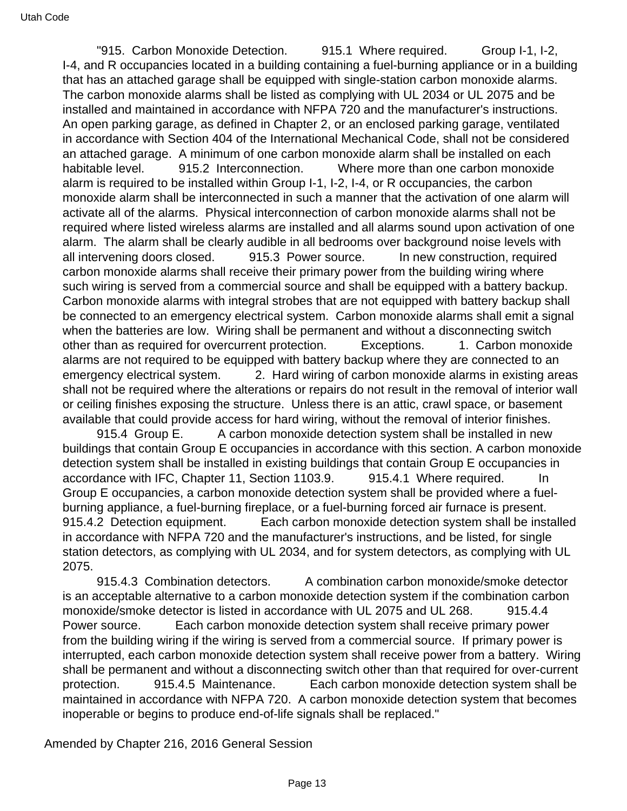"915. Carbon Monoxide Detection. 915.1 Where required. Group I-1, I-2, I-4, and R occupancies located in a building containing a fuel-burning appliance or in a building that has an attached garage shall be equipped with single-station carbon monoxide alarms. The carbon monoxide alarms shall be listed as complying with UL 2034 or UL 2075 and be installed and maintained in accordance with NFPA 720 and the manufacturer's instructions. An open parking garage, as defined in Chapter 2, or an enclosed parking garage, ventilated in accordance with Section 404 of the International Mechanical Code, shall not be considered an attached garage. A minimum of one carbon monoxide alarm shall be installed on each habitable level. 915.2 Interconnection. Where more than one carbon monoxide alarm is required to be installed within Group I-1, I-2, I-4, or R occupancies, the carbon monoxide alarm shall be interconnected in such a manner that the activation of one alarm will activate all of the alarms. Physical interconnection of carbon monoxide alarms shall not be required where listed wireless alarms are installed and all alarms sound upon activation of one alarm. The alarm shall be clearly audible in all bedrooms over background noise levels with all intervening doors closed. 915.3 Power source. In new construction, required carbon monoxide alarms shall receive their primary power from the building wiring where such wiring is served from a commercial source and shall be equipped with a battery backup. Carbon monoxide alarms with integral strobes that are not equipped with battery backup shall be connected to an emergency electrical system. Carbon monoxide alarms shall emit a signal when the batteries are low. Wiring shall be permanent and without a disconnecting switch other than as required for overcurrent protection. Exceptions. 1. Carbon monoxide alarms are not required to be equipped with battery backup where they are connected to an emergency electrical system. 2. Hard wiring of carbon monoxide alarms in existing areas shall not be required where the alterations or repairs do not result in the removal of interior wall or ceiling finishes exposing the structure. Unless there is an attic, crawl space, or basement available that could provide access for hard wiring, without the removal of interior finishes.

915.4 Group E. A carbon monoxide detection system shall be installed in new buildings that contain Group E occupancies in accordance with this section. A carbon monoxide detection system shall be installed in existing buildings that contain Group E occupancies in accordance with IFC, Chapter 11, Section 1103.9. 915.4.1 Where required. In Group E occupancies, a carbon monoxide detection system shall be provided where a fuelburning appliance, a fuel-burning fireplace, or a fuel-burning forced air furnace is present. 915.4.2 Detection equipment. Each carbon monoxide detection system shall be installed in accordance with NFPA 720 and the manufacturer's instructions, and be listed, for single station detectors, as complying with UL 2034, and for system detectors, as complying with UL 2075.

 915.4.3 Combination detectors. A combination carbon monoxide/smoke detector is an acceptable alternative to a carbon monoxide detection system if the combination carbon monoxide/smoke detector is listed in accordance with UL 2075 and UL 268. 915.4.4 Power source. Each carbon monoxide detection system shall receive primary power from the building wiring if the wiring is served from a commercial source. If primary power is interrupted, each carbon monoxide detection system shall receive power from a battery. Wiring shall be permanent and without a disconnecting switch other than that required for over-current protection. 915.4.5 Maintenance. Each carbon monoxide detection system shall be maintained in accordance with NFPA 720. A carbon monoxide detection system that becomes inoperable or begins to produce end-of-life signals shall be replaced."

Amended by Chapter 216, 2016 General Session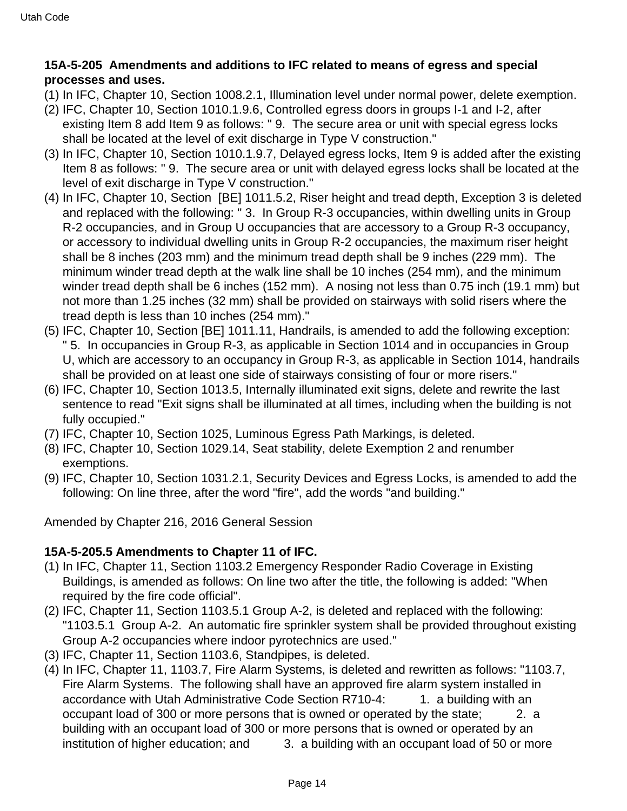## **15A-5-205 Amendments and additions to IFC related to means of egress and special processes and uses.**

- (1) In IFC, Chapter 10, Section 1008.2.1, Illumination level under normal power, delete exemption.
- (2) IFC, Chapter 10, Section 1010.1.9.6, Controlled egress doors in groups I-1 and I-2, after existing Item 8 add Item 9 as follows: " 9. The secure area or unit with special egress locks shall be located at the level of exit discharge in Type V construction."
- (3) In IFC, Chapter 10, Section 1010.1.9.7, Delayed egress locks, Item 9 is added after the existing Item 8 as follows: " 9. The secure area or unit with delayed egress locks shall be located at the level of exit discharge in Type V construction."
- (4) In IFC, Chapter 10, Section [BE] 1011.5.2, Riser height and tread depth, Exception 3 is deleted and replaced with the following: " 3. In Group R-3 occupancies, within dwelling units in Group R-2 occupancies, and in Group U occupancies that are accessory to a Group R-3 occupancy, or accessory to individual dwelling units in Group R-2 occupancies, the maximum riser height shall be 8 inches (203 mm) and the minimum tread depth shall be 9 inches (229 mm). The minimum winder tread depth at the walk line shall be 10 inches (254 mm), and the minimum winder tread depth shall be 6 inches (152 mm). A nosing not less than 0.75 inch (19.1 mm) but not more than 1.25 inches (32 mm) shall be provided on stairways with solid risers where the tread depth is less than 10 inches (254 mm)."
- (5) IFC, Chapter 10, Section [BE] 1011.11, Handrails, is amended to add the following exception: " 5. In occupancies in Group R-3, as applicable in Section 1014 and in occupancies in Group U, which are accessory to an occupancy in Group R-3, as applicable in Section 1014, handrails shall be provided on at least one side of stairways consisting of four or more risers."
- (6) IFC, Chapter 10, Section 1013.5, Internally illuminated exit signs, delete and rewrite the last sentence to read "Exit signs shall be illuminated at all times, including when the building is not fully occupied."
- (7) IFC, Chapter 10, Section 1025, Luminous Egress Path Markings, is deleted.
- (8) IFC, Chapter 10, Section 1029.14, Seat stability, delete Exemption 2 and renumber exemptions.
- (9) IFC, Chapter 10, Section 1031.2.1, Security Devices and Egress Locks, is amended to add the following: On line three, after the word "fire", add the words "and building."

Amended by Chapter 216, 2016 General Session

### **15A-5-205.5 Amendments to Chapter 11 of IFC.**

- (1) In IFC, Chapter 11, Section 1103.2 Emergency Responder Radio Coverage in Existing Buildings, is amended as follows: On line two after the title, the following is added: "When required by the fire code official".
- (2) IFC, Chapter 11, Section 1103.5.1 Group A-2, is deleted and replaced with the following: "1103.5.1 Group A-2. An automatic fire sprinkler system shall be provided throughout existing Group A-2 occupancies where indoor pyrotechnics are used."
- (3) IFC, Chapter 11, Section 1103.6, Standpipes, is deleted.
- (4) In IFC, Chapter 11, 1103.7, Fire Alarm Systems, is deleted and rewritten as follows: "1103.7, Fire Alarm Systems. The following shall have an approved fire alarm system installed in accordance with Utah Administrative Code Section R710-4: 1. a building with an occupant load of 300 or more persons that is owned or operated by the state; 2. a building with an occupant load of 300 or more persons that is owned or operated by an institution of higher education; and 3. a building with an occupant load of 50 or more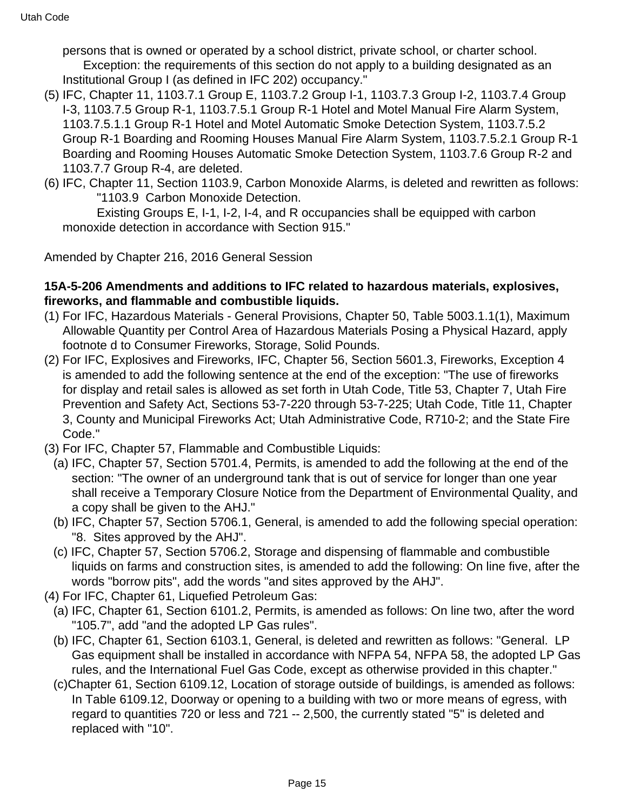persons that is owned or operated by a school district, private school, or charter school. Exception: the requirements of this section do not apply to a building designated as an Institutional Group I (as defined in IFC 202) occupancy."

- (5) IFC, Chapter 11, 1103.7.1 Group E, 1103.7.2 Group I-1, 1103.7.3 Group I-2, 1103.7.4 Group I-3, 1103.7.5 Group R-1, 1103.7.5.1 Group R-1 Hotel and Motel Manual Fire Alarm System, 1103.7.5.1.1 Group R-1 Hotel and Motel Automatic Smoke Detection System, 1103.7.5.2 Group R-1 Boarding and Rooming Houses Manual Fire Alarm System, 1103.7.5.2.1 Group R-1 Boarding and Rooming Houses Automatic Smoke Detection System, 1103.7.6 Group R-2 and 1103.7.7 Group R-4, are deleted.
- (6) IFC, Chapter 11, Section 1103.9, Carbon Monoxide Alarms, is deleted and rewritten as follows: "1103.9 Carbon Monoxide Detection.

 Existing Groups E, I-1, I-2, I-4, and R occupancies shall be equipped with carbon monoxide detection in accordance with Section 915."

Amended by Chapter 216, 2016 General Session

#### **15A-5-206 Amendments and additions to IFC related to hazardous materials, explosives, fireworks, and flammable and combustible liquids.**

- (1) For IFC, Hazardous Materials General Provisions, Chapter 50, Table 5003.1.1(1), Maximum Allowable Quantity per Control Area of Hazardous Materials Posing a Physical Hazard, apply footnote d to Consumer Fireworks, Storage, Solid Pounds.
- (2) For IFC, Explosives and Fireworks, IFC, Chapter 56, Section 5601.3, Fireworks, Exception 4 is amended to add the following sentence at the end of the exception: "The use of fireworks for display and retail sales is allowed as set forth in Utah Code, Title 53, Chapter 7, Utah Fire Prevention and Safety Act, Sections 53-7-220 through 53-7-225; Utah Code, Title 11, Chapter 3, County and Municipal Fireworks Act; Utah Administrative Code, R710-2; and the State Fire Code."
- (3) For IFC, Chapter 57, Flammable and Combustible Liquids:
	- (a) IFC, Chapter 57, Section 5701.4, Permits, is amended to add the following at the end of the section: "The owner of an underground tank that is out of service for longer than one year shall receive a Temporary Closure Notice from the Department of Environmental Quality, and a copy shall be given to the AHJ."
	- (b) IFC, Chapter 57, Section 5706.1, General, is amended to add the following special operation: "8. Sites approved by the AHJ".
	- (c) IFC, Chapter 57, Section 5706.2, Storage and dispensing of flammable and combustible liquids on farms and construction sites, is amended to add the following: On line five, after the words "borrow pits", add the words "and sites approved by the AHJ".
- (4) For IFC, Chapter 61, Liquefied Petroleum Gas:
	- (a) IFC, Chapter 61, Section 6101.2, Permits, is amended as follows: On line two, after the word "105.7", add "and the adopted LP Gas rules".
	- (b) IFC, Chapter 61, Section 6103.1, General, is deleted and rewritten as follows: "General. LP Gas equipment shall be installed in accordance with NFPA 54, NFPA 58, the adopted LP Gas rules, and the International Fuel Gas Code, except as otherwise provided in this chapter."
	- (c)Chapter 61, Section 6109.12, Location of storage outside of buildings, is amended as follows: In Table 6109.12, Doorway or opening to a building with two or more means of egress, with regard to quantities 720 or less and 721 -- 2,500, the currently stated "5" is deleted and replaced with "10".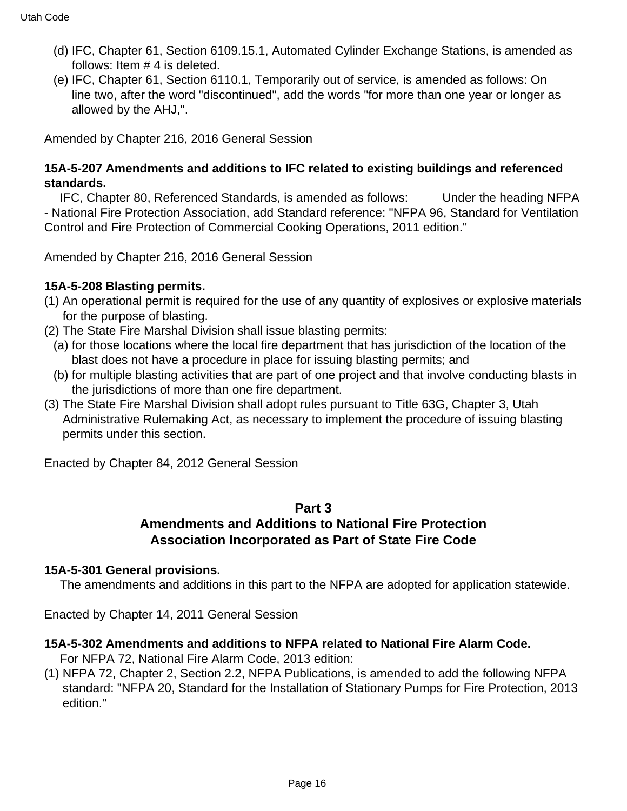- (d) IFC, Chapter 61, Section 6109.15.1, Automated Cylinder Exchange Stations, is amended as follows: Item # 4 is deleted.
- (e) IFC, Chapter 61, Section 6110.1, Temporarily out of service, is amended as follows: On line two, after the word "discontinued", add the words "for more than one year or longer as allowed by the AHJ,".

Amended by Chapter 216, 2016 General Session

#### **15A-5-207 Amendments and additions to IFC related to existing buildings and referenced standards.**

 IFC, Chapter 80, Referenced Standards, is amended as follows: Under the heading NFPA - National Fire Protection Association, add Standard reference: "NFPA 96, Standard for Ventilation Control and Fire Protection of Commercial Cooking Operations, 2011 edition."

Amended by Chapter 216, 2016 General Session

#### **15A-5-208 Blasting permits.**

- (1) An operational permit is required for the use of any quantity of explosives or explosive materials for the purpose of blasting.
- (2) The State Fire Marshal Division shall issue blasting permits:
	- (a) for those locations where the local fire department that has jurisdiction of the location of the blast does not have a procedure in place for issuing blasting permits; and
	- (b) for multiple blasting activities that are part of one project and that involve conducting blasts in the jurisdictions of more than one fire department.
- (3) The State Fire Marshal Division shall adopt rules pursuant to Title 63G, Chapter 3, Utah Administrative Rulemaking Act, as necessary to implement the procedure of issuing blasting permits under this section.

Enacted by Chapter 84, 2012 General Session

## **Part 3 Amendments and Additions to National Fire Protection Association Incorporated as Part of State Fire Code**

#### **15A-5-301 General provisions.**

The amendments and additions in this part to the NFPA are adopted for application statewide.

Enacted by Chapter 14, 2011 General Session

#### **15A-5-302 Amendments and additions to NFPA related to National Fire Alarm Code.**

- For NFPA 72, National Fire Alarm Code, 2013 edition:
- (1) NFPA 72, Chapter 2, Section 2.2, NFPA Publications, is amended to add the following NFPA standard: "NFPA 20, Standard for the Installation of Stationary Pumps for Fire Protection, 2013 edition."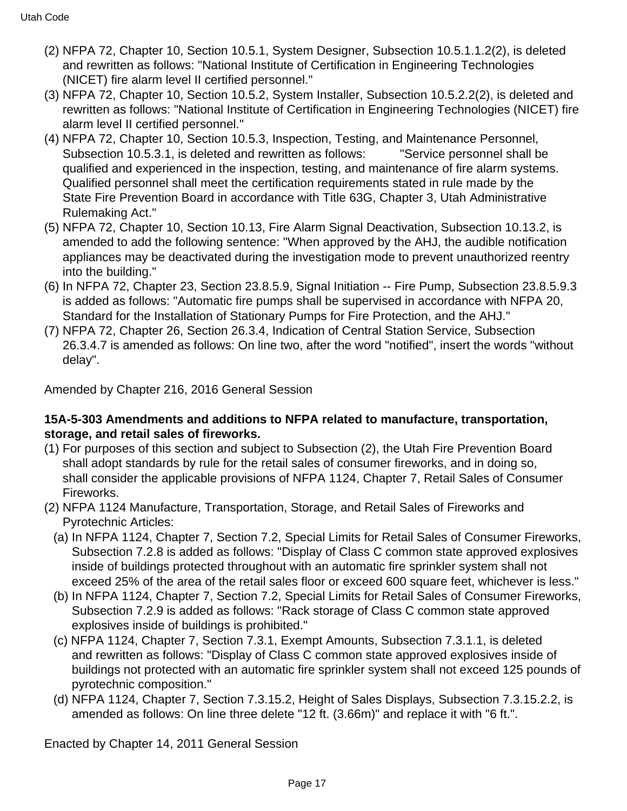- (2) NFPA 72, Chapter 10, Section 10.5.1, System Designer, Subsection 10.5.1.1.2(2), is deleted and rewritten as follows: "National Institute of Certification in Engineering Technologies (NICET) fire alarm level II certified personnel."
- (3) NFPA 72, Chapter 10, Section 10.5.2, System Installer, Subsection 10.5.2.2(2), is deleted and rewritten as follows: "National Institute of Certification in Engineering Technologies (NICET) fire alarm level II certified personnel."
- (4) NFPA 72, Chapter 10, Section 10.5.3, Inspection, Testing, and Maintenance Personnel, Subsection 10.5.3.1, is deleted and rewritten as follows: "Service personnel shall be qualified and experienced in the inspection, testing, and maintenance of fire alarm systems. Qualified personnel shall meet the certification requirements stated in rule made by the State Fire Prevention Board in accordance with Title 63G, Chapter 3, Utah Administrative Rulemaking Act."
- (5) NFPA 72, Chapter 10, Section 10.13, Fire Alarm Signal Deactivation, Subsection 10.13.2, is amended to add the following sentence: "When approved by the AHJ, the audible notification appliances may be deactivated during the investigation mode to prevent unauthorized reentry into the building."
- (6) In NFPA 72, Chapter 23, Section 23.8.5.9, Signal Initiation -- Fire Pump, Subsection 23.8.5.9.3 is added as follows: "Automatic fire pumps shall be supervised in accordance with NFPA 20, Standard for the Installation of Stationary Pumps for Fire Protection, and the AHJ."
- (7) NFPA 72, Chapter 26, Section 26.3.4, Indication of Central Station Service, Subsection 26.3.4.7 is amended as follows: On line two, after the word "notified", insert the words "without delay".

Amended by Chapter 216, 2016 General Session

#### **15A-5-303 Amendments and additions to NFPA related to manufacture, transportation, storage, and retail sales of fireworks.**

- (1) For purposes of this section and subject to Subsection (2), the Utah Fire Prevention Board shall adopt standards by rule for the retail sales of consumer fireworks, and in doing so, shall consider the applicable provisions of NFPA 1124, Chapter 7, Retail Sales of Consumer Fireworks.
- (2) NFPA 1124 Manufacture, Transportation, Storage, and Retail Sales of Fireworks and Pyrotechnic Articles:
	- (a) In NFPA 1124, Chapter 7, Section 7.2, Special Limits for Retail Sales of Consumer Fireworks, Subsection 7.2.8 is added as follows: "Display of Class C common state approved explosives inside of buildings protected throughout with an automatic fire sprinkler system shall not exceed 25% of the area of the retail sales floor or exceed 600 square feet, whichever is less."
	- (b) In NFPA 1124, Chapter 7, Section 7.2, Special Limits for Retail Sales of Consumer Fireworks, Subsection 7.2.9 is added as follows: "Rack storage of Class C common state approved explosives inside of buildings is prohibited."
	- (c) NFPA 1124, Chapter 7, Section 7.3.1, Exempt Amounts, Subsection 7.3.1.1, is deleted and rewritten as follows: "Display of Class C common state approved explosives inside of buildings not protected with an automatic fire sprinkler system shall not exceed 125 pounds of pyrotechnic composition."
	- (d) NFPA 1124, Chapter 7, Section 7.3.15.2, Height of Sales Displays, Subsection 7.3.15.2.2, is amended as follows: On line three delete "12 ft. (3.66m)" and replace it with "6 ft.".

Enacted by Chapter 14, 2011 General Session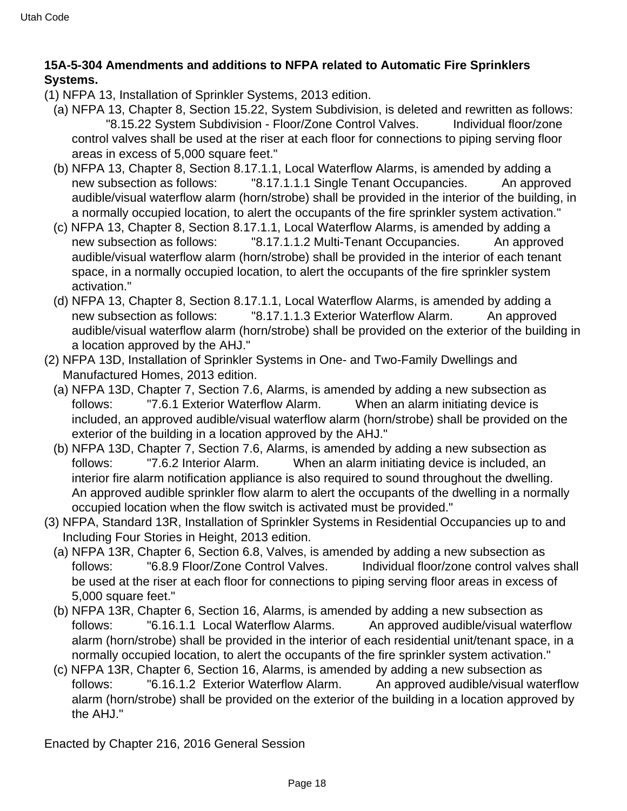# **15A-5-304 Amendments and additions to NFPA related to Automatic Fire Sprinklers Systems.**

- (1) NFPA 13, Installation of Sprinkler Systems, 2013 edition.
	- (a) NFPA 13, Chapter 8, Section 15.22, System Subdivision, is deleted and rewritten as follows: "8.15.22 System Subdivision - Floor/Zone Control Valves. Individual floor/zone control valves shall be used at the riser at each floor for connections to piping serving floor areas in excess of 5,000 square feet."
	- (b) NFPA 13, Chapter 8, Section 8.17.1.1, Local Waterflow Alarms, is amended by adding a new subsection as follows: "8.17.1.1.1 Single Tenant Occupancies. An approved audible/visual waterflow alarm (horn/strobe) shall be provided in the interior of the building, in a normally occupied location, to alert the occupants of the fire sprinkler system activation."
	- (c) NFPA 13, Chapter 8, Section 8.17.1.1, Local Waterflow Alarms, is amended by adding a new subsection as follows: "8.17.1.1.2 Multi-Tenant Occupancies. An approved audible/visual waterflow alarm (horn/strobe) shall be provided in the interior of each tenant space, in a normally occupied location, to alert the occupants of the fire sprinkler system activation."
	- (d) NFPA 13, Chapter 8, Section 8.17.1.1, Local Waterflow Alarms, is amended by adding a new subsection as follows: "8.17.1.1.3 Exterior Waterflow Alarm. An approved audible/visual waterflow alarm (horn/strobe) shall be provided on the exterior of the building in a location approved by the AHJ."
- (2) NFPA 13D, Installation of Sprinkler Systems in One- and Two-Family Dwellings and Manufactured Homes, 2013 edition.
	- (a) NFPA 13D, Chapter 7, Section 7.6, Alarms, is amended by adding a new subsection as follows: "7.6.1 Exterior Waterflow Alarm. When an alarm initiating device is included, an approved audible/visual waterflow alarm (horn/strobe) shall be provided on the exterior of the building in a location approved by the AHJ."
	- (b) NFPA 13D, Chapter 7, Section 7.6, Alarms, is amended by adding a new subsection as follows: "7.6.2 Interior Alarm. When an alarm initiating device is included, an interior fire alarm notification appliance is also required to sound throughout the dwelling. An approved audible sprinkler flow alarm to alert the occupants of the dwelling in a normally occupied location when the flow switch is activated must be provided."
- (3) NFPA, Standard 13R, Installation of Sprinkler Systems in Residential Occupancies up to and Including Four Stories in Height, 2013 edition.
	- (a) NFPA 13R, Chapter 6, Section 6.8, Valves, is amended by adding a new subsection as follows: "6.8.9 Floor/Zone Control Valves. Individual floor/zone control valves shall be used at the riser at each floor for connections to piping serving floor areas in excess of 5,000 square feet."
	- (b) NFPA 13R, Chapter 6, Section 16, Alarms, is amended by adding a new subsection as follows: "6.16.1.1 Local Waterflow Alarms. An approved audible/visual waterflow alarm (horn/strobe) shall be provided in the interior of each residential unit/tenant space, in a normally occupied location, to alert the occupants of the fire sprinkler system activation."
	- (c) NFPA 13R, Chapter 6, Section 16, Alarms, is amended by adding a new subsection as follows: "6.16.1.2 Exterior Waterflow Alarm. An approved audible/visual waterflow alarm (horn/strobe) shall be provided on the exterior of the building in a location approved by the AHJ."

Enacted by Chapter 216, 2016 General Session